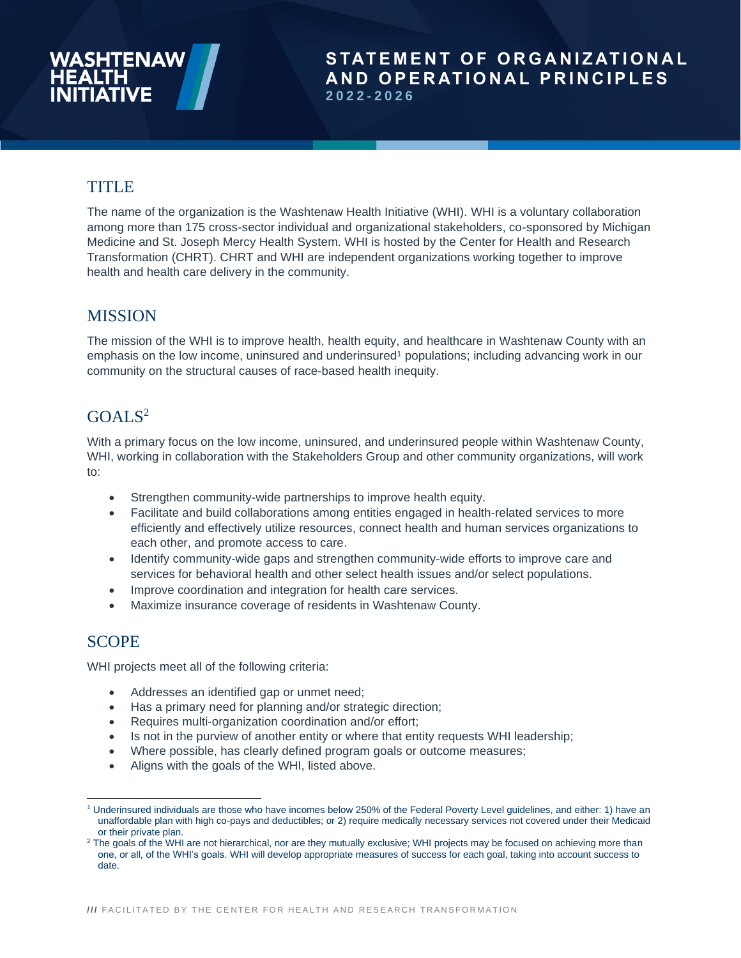# **TITLE**

The name of the organization is the Washtenaw Health Initiative (WHI). WHI is a voluntary collaboration among more than 175 cross-sector individual and organizational stakeholders, co-sponsored by Michigan Medicine and [St. Joseph Mercy Health System.](http://www.stjoesannarbor.org/st-joseph-mercy-ann-arbor-hospital) WHI is hosted by the Center for Health and Research Transformation (CHRT). CHRT and WHI are independent organizations working together to improve health and health care delivery in the community.

# **MISSION**

The mission of the WHI is to improve health, health equity, and healthcare in Washtenaw County with an emphasis on the low income, uninsured and underinsured<sup>1</sup> populations; including advancing work in our community on the structural causes of race-based health inequity.

# $GOAI.S<sup>2</sup>$

With a primary focus on the low income, uninsured, and underinsured people within Washtenaw County, WHI, working in collaboration with the Stakeholders Group and other community organizations, will work to:

- Strengthen community-wide partnerships to improve health equity.
- Facilitate and build collaborations among entities engaged in health-related services to more efficiently and effectively utilize resources, connect health and human services organizations to each other, and promote access to care.
- Identify community-wide gaps and strengthen community-wide efforts to improve care and services for behavioral health and other select health issues and/or select populations.
- Improve coordination and integration for health care services.
- Maximize insurance coverage of residents in Washtenaw County.

# **SCOPE**

WHI projects meet all of the following criteria:

- Addresses an identified gap or unmet need;
- Has a primary need for planning and/or strategic direction;
- Requires multi-organization coordination and/or effort;
- Is not in the purview of another entity or where that entity requests WHI leadership;
- Where possible, has clearly defined program goals or outcome measures;
- Aligns with the goals of the WHI, listed above.

<sup>1</sup> Underinsured individuals are those who have incomes below 250% of the Federal Poverty Level guidelines, and either: 1) have an unaffordable plan with high co-pays and deductibles; or 2) require medically necessary services not covered under their Medicaid or their private plan.

<sup>&</sup>lt;sup>2</sup> The goals of the WHI are not hierarchical, nor are they mutually exclusive; WHI projects may be focused on achieving more than one, or all, of the WHI's goals. WHI will develop appropriate measures of success for each goal, taking into account success to date.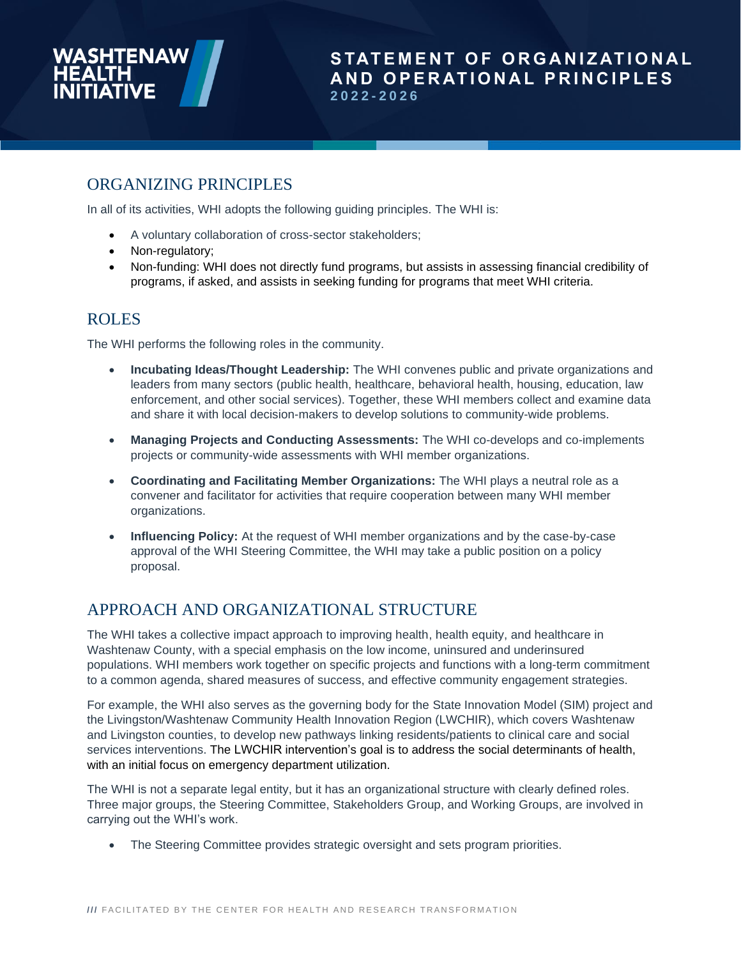

# ORGANIZING PRINCIPLES

In all of its activities, WHI adopts the following guiding principles. The WHI is:

- A voluntary collaboration of cross-sector stakeholders;
- Non-regulatory;
- Non-funding: WHI does not directly fund programs, but assists in assessing financial credibility of programs, if asked, and assists in seeking funding for programs that meet WHI criteria.

### ROLES

The WHI performs the following roles in the community.

- **Incubating Ideas/Thought Leadership:** The WHI convenes public and private organizations and leaders from many sectors (public health, healthcare, behavioral health, housing, education, law enforcement, and other social services). Together, these WHI members collect and examine data and share it with local decision-makers to develop solutions to community-wide problems.
- **Managing Projects and Conducting Assessments:** The WHI co-develops and co-implements projects or community-wide assessments with WHI member organizations.
- **Coordinating and Facilitating Member Organizations:** The WHI plays a neutral role as a convener and facilitator for activities that require cooperation between many WHI member organizations.
- **Influencing Policy:** At the request of WHI member organizations and by the case-by-case approval of the WHI Steering Committee, the WHI may take a public position on a policy proposal.

# APPROACH AND ORGANIZATIONAL STRUCTURE

The WHI takes a collective impact approach to improving health, health equity, and healthcare in Washtenaw County, with a special emphasis on the low income, uninsured and underinsured populations. WHI members work together on specific projects and functions with a long-term commitment to a common agenda, shared measures of success, and effective community engagement strategies.

For example, the WHI also serves as the governing body for the State Innovation Model (SIM) project and the Livingston/Washtenaw Community Health Innovation Region (LWCHIR), which covers Washtenaw and Livingston counties, to develop new pathways linking residents/patients to clinical care and social services interventions. The LWCHIR intervention's goal is to address the social determinants of health, with an initial focus on emergency department utilization.

The WHI is not a separate legal entity, but it has an organizational structure with clearly defined roles. Three major groups, the Steering Committee, Stakeholders Group, and Working Groups, are involved in carrying out the WHI's work.

• The Steering Committee provides strategic oversight and sets program priorities.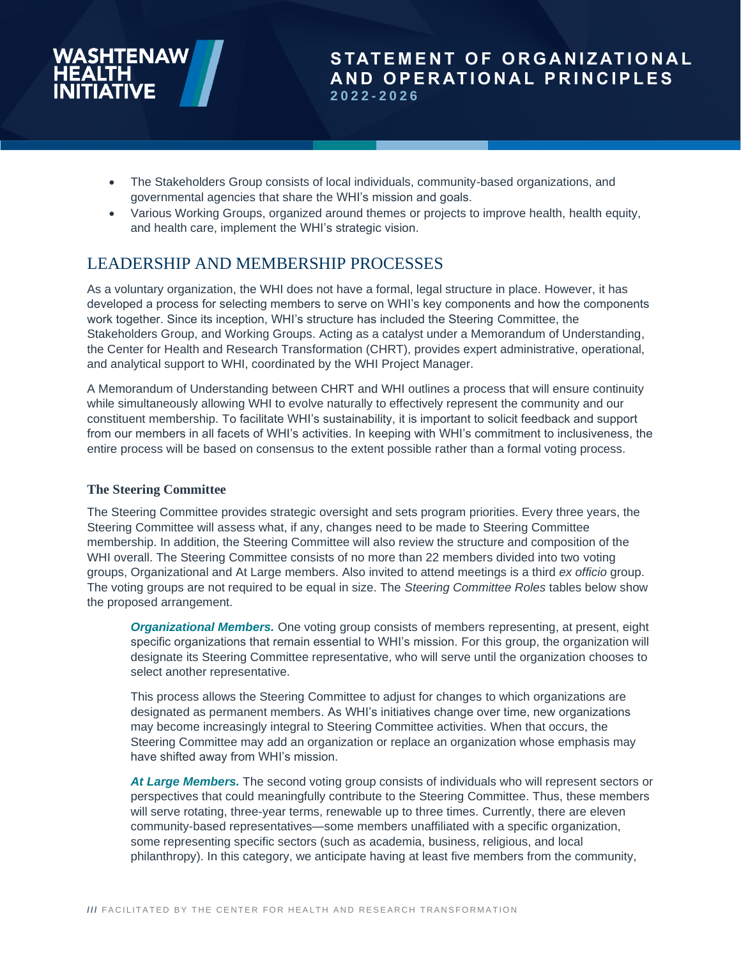- The Stakeholders Group consists of local individuals, community-based organizations, and governmental agencies that share the WHI's mission and goals.
- Various Working Groups, organized around themes or projects to improve health, health equity, and health care, implement the WHI's strategic vision.

# LEADERSHIP AND MEMBERSHIP PROCESSES

As a voluntary organization, the WHI does not have a formal, legal structure in place. However, it has developed a process for selecting members to serve on WHI's key components and how the components work together. Since its inception, WHI's structure has included the Steering Committee, the Stakeholders Group, and Working Groups. Acting as a catalyst under a Memorandum of Understanding, the Center for Health and Research Transformation (CHRT), provides expert administrative, operational, and analytical support to WHI, coordinated by the WHI Project Manager.

A Memorandum of Understanding between CHRT and WHI outlines a process that will ensure continuity while simultaneously allowing WHI to evolve naturally to effectively represent the community and our constituent membership. To facilitate WHI's sustainability, it is important to solicit feedback and support from our members in all facets of WHI's activities. In keeping with WHI's commitment to inclusiveness, the entire process will be based on consensus to the extent possible rather than a formal voting process.

#### **The Steering Committee**

The Steering Committee provides strategic oversight and sets program priorities. Every three years, the Steering Committee will assess what, if any, changes need to be made to Steering Committee membership. In addition, the Steering Committee will also review the structure and composition of the WHI overall. The Steering Committee consists of no more than 22 members divided into two voting groups, Organizational and At Large members. Also invited to attend meetings is a third *ex officio* group. The voting groups are not required to be equal in size. The *Steering Committee Roles* tables below show the proposed arrangement.

*Organizational Members.* One voting group consists of members representing, at present, eight specific organizations that remain essential to WHI's mission. For this group, the organization will designate its Steering Committee representative, who will serve until the organization chooses to select another representative.

This process allows the Steering Committee to adjust for changes to which organizations are designated as permanent members. As WHI's initiatives change over time, new organizations may become increasingly integral to Steering Committee activities. When that occurs, the Steering Committee may add an organization or replace an organization whose emphasis may have shifted away from WHI's mission.

*At Large Members.* The second voting group consists of individuals who will represent sectors or perspectives that could meaningfully contribute to the Steering Committee. Thus, these members will serve rotating, three-year terms, renewable up to three times. Currently, there are eleven community-based representatives—some members unaffiliated with a specific organization, some representing specific sectors (such as academia, business, religious, and local philanthropy). In this category, we anticipate having at least five members from the community,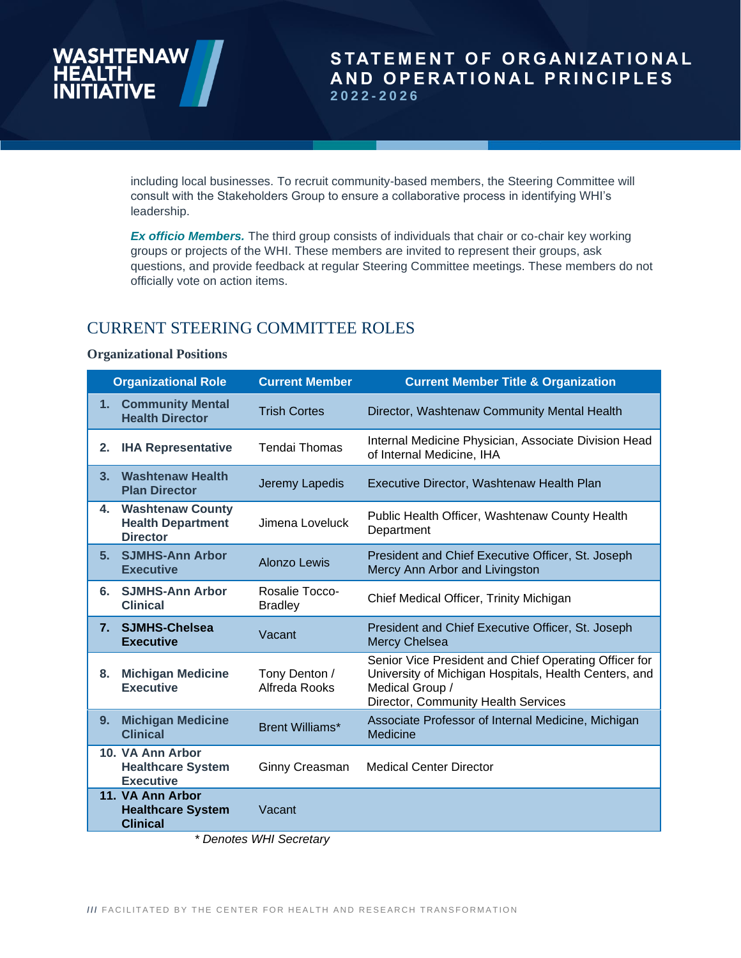including local businesses. To recruit community-based members, the Steering Committee will consult with the Stakeholders Group to ensure a collaborative process in identifying WHI's leadership.

*Ex officio Members.* The third group consists of individuals that chair or co-chair key working groups or projects of the WHI. These members are invited to represent their groups, ask questions, and provide feedback at regular Steering Committee meetings. These members do not officially vote on action items.

# CURRENT STEERING COMMITTEE ROLES

#### **Organizational Positions**

| <b>Organizational Role</b> |                                                                        | <b>Current Member</b>            | <b>Current Member Title &amp; Organization</b>                                                                                                                           |
|----------------------------|------------------------------------------------------------------------|----------------------------------|--------------------------------------------------------------------------------------------------------------------------------------------------------------------------|
| 1.                         | <b>Community Mental</b><br><b>Health Director</b>                      | <b>Trish Cortes</b>              | Director, Washtenaw Community Mental Health                                                                                                                              |
| 2.                         | <b>IHA Representative</b>                                              | <b>Tendai Thomas</b>             | Internal Medicine Physician, Associate Division Head<br>of Internal Medicine, IHA                                                                                        |
| 3.                         | <b>Washtenaw Health</b><br><b>Plan Director</b>                        | Jeremy Lapedis                   | Executive Director, Washtenaw Health Plan                                                                                                                                |
| 4.                         | <b>Washtenaw County</b><br><b>Health Department</b><br><b>Director</b> | Jimena Loveluck                  | Public Health Officer, Washtenaw County Health<br>Department                                                                                                             |
| 5.                         | <b>SJMHS-Ann Arbor</b><br><b>Executive</b>                             | <b>Alonzo Lewis</b>              | President and Chief Executive Officer, St. Joseph<br>Mercy Ann Arbor and Livingston                                                                                      |
| 6.                         | <b>SJMHS-Ann Arbor</b><br><b>Clinical</b>                              | Rosalie Tocco-<br><b>Bradley</b> | Chief Medical Officer, Trinity Michigan                                                                                                                                  |
| 7 <sub>1</sub>             | <b>SJMHS-Chelsea</b><br><b>Executive</b>                               | Vacant                           | President and Chief Executive Officer, St. Joseph<br><b>Mercy Chelsea</b>                                                                                                |
| 8.                         | <b>Michigan Medicine</b><br><b>Executive</b>                           | Tony Denton /<br>Alfreda Rooks   | Senior Vice President and Chief Operating Officer for<br>University of Michigan Hospitals, Health Centers, and<br>Medical Group /<br>Director, Community Health Services |
| 9.                         | <b>Michigan Medicine</b><br><b>Clinical</b>                            | <b>Brent Williams*</b>           | Associate Professor of Internal Medicine, Michigan<br>Medicine                                                                                                           |
|                            | 10. VA Ann Arbor<br><b>Healthcare System</b><br><b>Executive</b>       | Ginny Creasman                   | <b>Medical Center Director</b>                                                                                                                                           |
|                            | 11. VA Ann Arbor<br><b>Healthcare System</b><br><b>Clinical</b>        | Vacant                           |                                                                                                                                                                          |

 *\* Denotes WHI Secretary*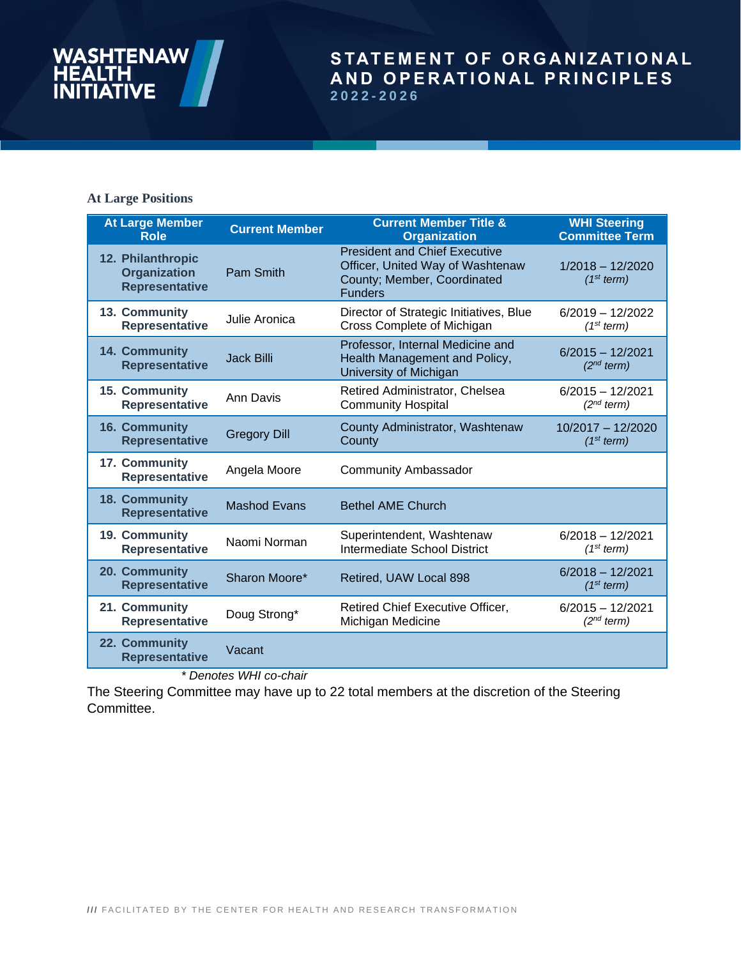# **WASHT ENAW**

# STATEMENT OF ORGANIZATIONAL **A N D O P E R AT I O N A L P R I N C I P L E S 2022 - 2026**

### **At Large Positions**

| <b>At Large Member</b>                                            | <b>Current Member</b> | <b>Current Member Title &amp;</b>                                                                                         | <b>WHI Steering</b>                          |
|-------------------------------------------------------------------|-----------------------|---------------------------------------------------------------------------------------------------------------------------|----------------------------------------------|
| <b>Role</b>                                                       |                       | <b>Organization</b>                                                                                                       | <b>Committee Term</b>                        |
| 12. Philanthropic<br><b>Organization</b><br><b>Representative</b> | <b>Pam Smith</b>      | <b>President and Chief Executive</b><br>Officer, United Way of Washtenaw<br>County; Member, Coordinated<br><b>Funders</b> | $1/2018 - 12/2020$<br>(1 <sup>st</sup> term) |
| 13. Community                                                     | Julie Aronica         | Director of Strategic Initiatives, Blue                                                                                   | $6/2019 - 12/2022$                           |
| <b>Representative</b>                                             |                       | Cross Complete of Michigan                                                                                                | (1 <sup>st</sup> term)                       |
| 14. Community<br><b>Representative</b>                            | <b>Jack Billi</b>     | Professor, Internal Medicine and<br>Health Management and Policy,<br>University of Michigan                               | $6/2015 - 12/2021$<br>(2 <sup>nd</sup> term) |
| 15. Community                                                     | Ann Davis             | Retired Administrator, Chelsea                                                                                            | $6/2015 - 12/2021$                           |
| <b>Representative</b>                                             |                       | <b>Community Hospital</b>                                                                                                 | (2 <sup>nd</sup> term)                       |
| 16. Community                                                     | <b>Gregory Dill</b>   | County Administrator, Washtenaw                                                                                           | 10/2017 - 12/2020                            |
| <b>Representative</b>                                             |                       | County                                                                                                                    | (1 <sup>st</sup> term)                       |
| 17. Community<br><b>Representative</b>                            | Angela Moore          | <b>Community Ambassador</b>                                                                                               |                                              |
| 18. Community<br><b>Representative</b>                            | <b>Mashod Evans</b>   | <b>Bethel AME Church</b>                                                                                                  |                                              |
| 19. Community                                                     | Naomi Norman          | Superintendent, Washtenaw                                                                                                 | $6/2018 - 12/2021$                           |
| <b>Representative</b>                                             |                       | Intermediate School District                                                                                              | (1 <sup>st</sup> term)                       |
| 20. Community<br><b>Representative</b>                            | Sharon Moore*         | Retired, UAW Local 898                                                                                                    | $6/2018 - 12/2021$<br>(1 <sup>st</sup> term) |
| 21. Community                                                     | Doug Strong*          | Retired Chief Executive Officer,                                                                                          | $6/2015 - 12/2021$                           |
| <b>Representative</b>                                             |                       | Michigan Medicine                                                                                                         | $(2^{nd}$ term)                              |
| 22. Community<br><b>Representative</b>                            | Vacant                |                                                                                                                           |                                              |

 *\* Denotes WHI co-chair* 

The Steering Committee may have up to 22 total members at the discretion of the Steering Committee.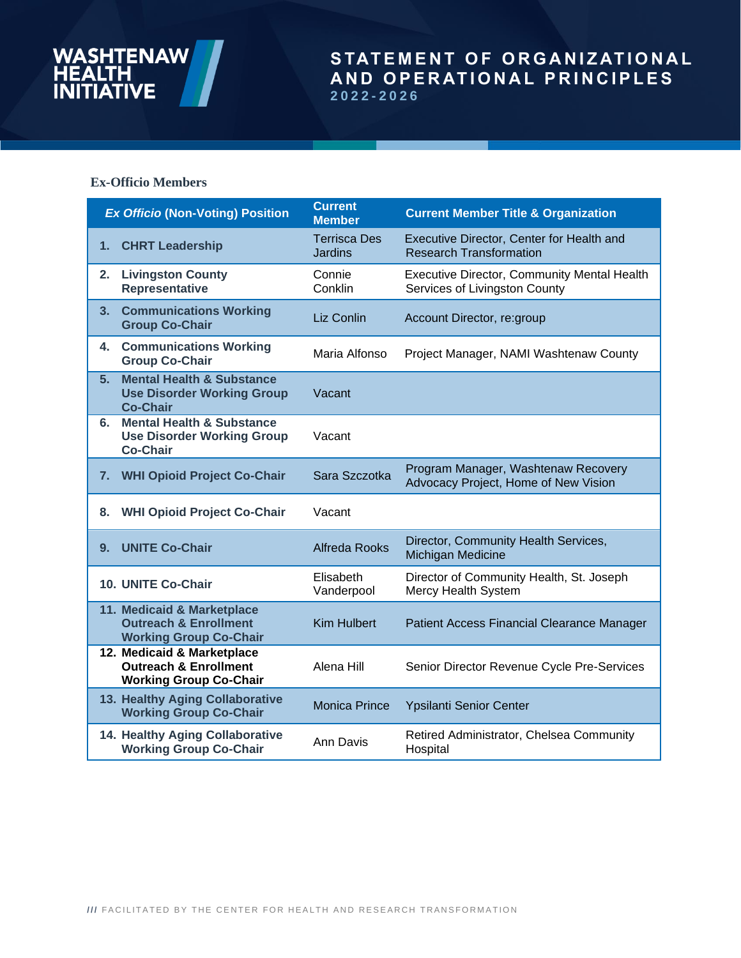# **WASHTENAW** IÉALTH<br>NITIATIVE

# STATEMENT OF ORGANIZATIONAL **A N D O P E R AT I O N A L P R I N C I P L E S 2022 - 2026**

#### **Ex-Officio Members**

| <b>Ex Officio (Non-Voting) Position</b> |                                                                                                 | <b>Current</b><br><b>Member</b>       | <b>Current Member Title &amp; Organization</b>                                      |
|-----------------------------------------|-------------------------------------------------------------------------------------------------|---------------------------------------|-------------------------------------------------------------------------------------|
| 1.                                      | <b>CHRT Leadership</b>                                                                          | <b>Terrisca Des</b><br><b>Jardins</b> | Executive Director, Center for Health and<br><b>Research Transformation</b>         |
| 2.                                      | <b>Livingston County</b><br>Representative                                                      | Connie<br>Conklin                     | <b>Executive Director, Community Mental Health</b><br>Services of Livingston County |
| 3.                                      | <b>Communications Working</b><br><b>Group Co-Chair</b>                                          | Liz Conlin                            | Account Director, re:group                                                          |
| 4.                                      | <b>Communications Working</b><br><b>Group Co-Chair</b>                                          | Maria Alfonso                         | Project Manager, NAMI Washtenaw County                                              |
| 5 <sub>1</sub>                          | <b>Mental Health &amp; Substance</b><br><b>Use Disorder Working Group</b><br><b>Co-Chair</b>    | Vacant                                |                                                                                     |
| 6.                                      | <b>Mental Health &amp; Substance</b><br><b>Use Disorder Working Group</b><br><b>Co-Chair</b>    | Vacant                                |                                                                                     |
| 7.                                      | <b>WHI Opioid Project Co-Chair</b>                                                              | Sara Szczotka                         | Program Manager, Washtenaw Recovery<br>Advocacy Project, Home of New Vision         |
| 8.                                      | <b>WHI Opioid Project Co-Chair</b>                                                              | Vacant                                |                                                                                     |
| 9.                                      | <b>UNITE Co-Chair</b>                                                                           | <b>Alfreda Rooks</b>                  | Director, Community Health Services,<br>Michigan Medicine                           |
|                                         | 10. UNITE Co-Chair                                                                              | Elisabeth<br>Vanderpool               | Director of Community Health, St. Joseph<br>Mercy Health System                     |
|                                         | 11. Medicaid & Marketplace<br><b>Outreach &amp; Enrollment</b><br><b>Working Group Co-Chair</b> | <b>Kim Hulbert</b>                    | Patient Access Financial Clearance Manager                                          |
|                                         | 12. Medicaid & Marketplace<br><b>Outreach &amp; Enrollment</b><br><b>Working Group Co-Chair</b> | Alena Hill                            | Senior Director Revenue Cycle Pre-Services                                          |
|                                         | 13. Healthy Aging Collaborative<br><b>Working Group Co-Chair</b>                                | <b>Monica Prince</b>                  | Ypsilanti Senior Center                                                             |
|                                         | 14. Healthy Aging Collaborative<br><b>Working Group Co-Chair</b>                                | <b>Ann Davis</b>                      | Retired Administrator, Chelsea Community<br>Hospital                                |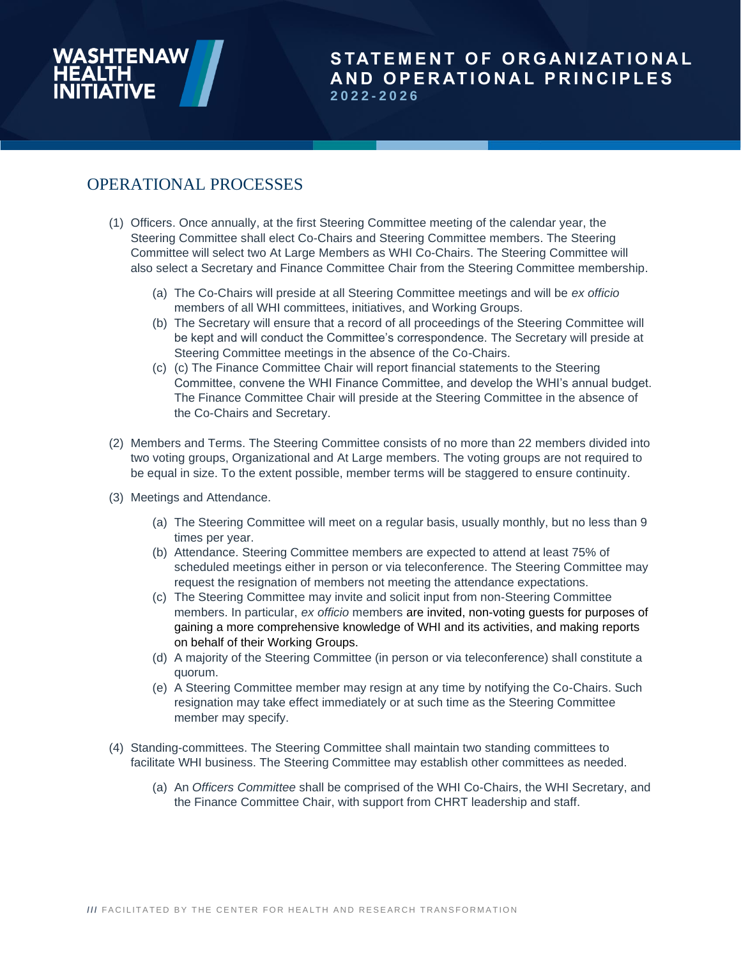# OPERATIONAL PROCESSES

- (1) Officers. Once annually, at the first Steering Committee meeting of the calendar year, the Steering Committee shall elect Co-Chairs and Steering Committee members. The Steering Committee will select two At Large Members as WHI Co-Chairs. The Steering Committee will also select a Secretary and Finance Committee Chair from the Steering Committee membership.
	- (a) The Co-Chairs will preside at all Steering Committee meetings and will be *ex officio*  members of all WHI committees, initiatives, and Working Groups.
	- (b) The Secretary will ensure that a record of all proceedings of the Steering Committee will be kept and will conduct the Committee's correspondence. The Secretary will preside at Steering Committee meetings in the absence of the Co-Chairs.
	- (c) (c) The Finance Committee Chair will report financial statements to the Steering Committee, convene the WHI Finance Committee, and develop the WHI's annual budget. The Finance Committee Chair will preside at the Steering Committee in the absence of the Co-Chairs and Secretary.
- (2) Members and Terms. The Steering Committee consists of no more than 22 members divided into two voting groups, Organizational and At Large members. The voting groups are not required to be equal in size. To the extent possible, member terms will be staggered to ensure continuity.
- (3) Meetings and Attendance.
	- (a) The Steering Committee will meet on a regular basis, usually monthly, but no less than 9 times per year.
	- (b) Attendance. Steering Committee members are expected to attend at least 75% of scheduled meetings either in person or via teleconference. The Steering Committee may request the resignation of members not meeting the attendance expectations.
	- (c) The Steering Committee may invite and solicit input from non-Steering Committee members. In particular, *ex officio* members are invited, non-voting guests for purposes of gaining a more comprehensive knowledge of WHI and its activities, and making reports on behalf of their Working Groups.
	- (d) A majority of the Steering Committee (in person or via teleconference) shall constitute a quorum.
	- (e) A Steering Committee member may resign at any time by notifying the Co-Chairs. Such resignation may take effect immediately or at such time as the Steering Committee member may specify.
- (4) Standing-committees. The Steering Committee shall maintain two standing committees to facilitate WHI business. The Steering Committee may establish other committees as needed.
	- (a) An *Officers Committee* shall be comprised of the WHI Co-Chairs, the WHI Secretary, and the Finance Committee Chair, with support from CHRT leadership and staff.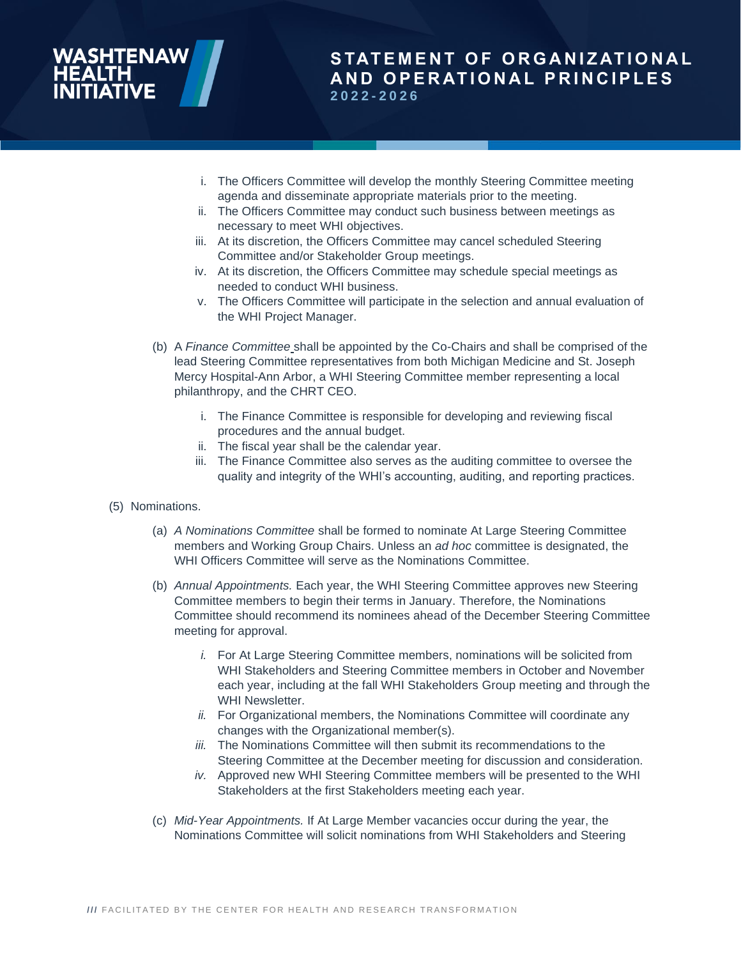- i. The Officers Committee will develop the monthly Steering Committee meeting
- agenda and disseminate appropriate materials prior to the meeting.
- ii. The Officers Committee may conduct such business between meetings as necessary to meet WHI objectives.
- iii. At its discretion, the Officers Committee may cancel scheduled Steering Committee and/or Stakeholder Group meetings.
- iv. At its discretion, the Officers Committee may schedule special meetings as needed to conduct WHI business.
- v. The Officers Committee will participate in the selection and annual evaluation of the WHI Project Manager.
- (b) A *Finance Committee* shall be appointed by the Co-Chairs and shall be comprised of the lead Steering Committee representatives from both Michigan Medicine and St. Joseph Mercy Hospital-Ann Arbor, a WHI Steering Committee member representing a local philanthropy, and the CHRT CEO.
	- i. The Finance Committee is responsible for developing and reviewing fiscal procedures and the annual budget.
	- ii. The fiscal year shall be the calendar year.
	- iii. The Finance Committee also serves as the auditing committee to oversee the quality and integrity of the WHI's accounting, auditing, and reporting practices.
- (5) Nominations.
	- (a) *A Nominations Committee* shall be formed to nominate At Large Steering Committee members and Working Group Chairs. Unless an *ad hoc* committee is designated, the WHI Officers Committee will serve as the Nominations Committee.
	- (b) *Annual Appointments.* Each year, the WHI Steering Committee approves new Steering Committee members to begin their terms in January. Therefore, the Nominations Committee should recommend its nominees ahead of the December Steering Committee meeting for approval.
		- *i.* For At Large Steering Committee members, nominations will be solicited from WHI Stakeholders and Steering Committee members in October and November each year, including at the fall WHI Stakeholders Group meeting and through the WHI Newsletter.
		- *ii.* For Organizational members, the Nominations Committee will coordinate any changes with the Organizational member(s).
		- *iii.* The Nominations Committee will then submit its recommendations to the Steering Committee at the December meeting for discussion and consideration.
		- *iv.* Approved new WHI Steering Committee members will be presented to the WHI Stakeholders at the first Stakeholders meeting each year.
	- (c) *Mid-Year Appointments.* If At Large Member vacancies occur during the year, the Nominations Committee will solicit nominations from WHI Stakeholders and Steering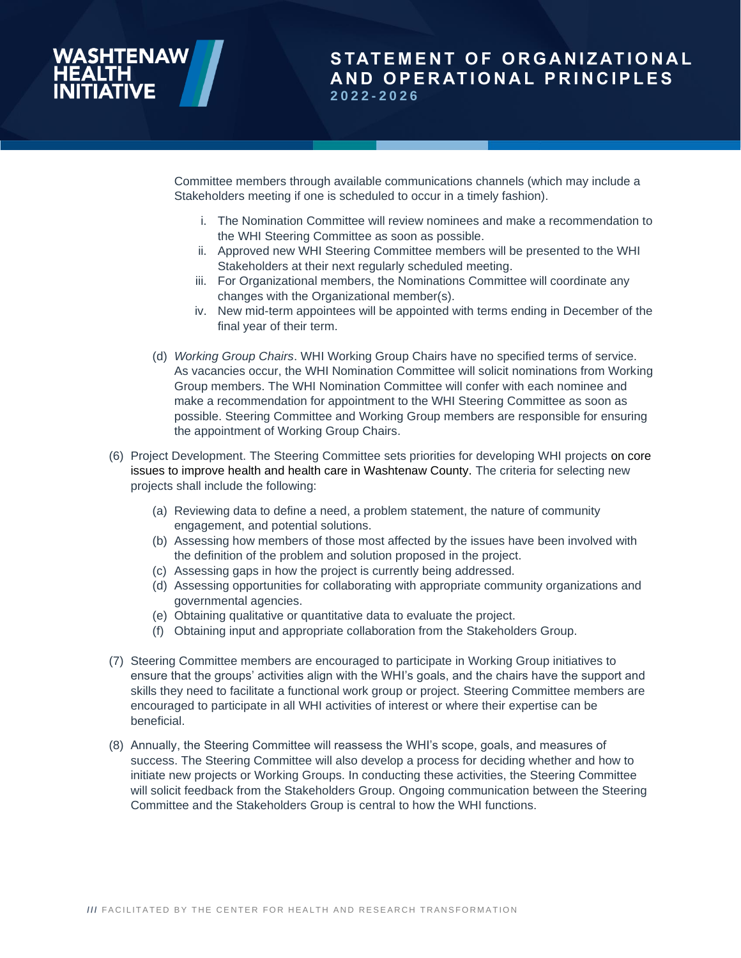Committee members through available communications channels (which may include a Stakeholders meeting if one is scheduled to occur in a timely fashion).

- i. The Nomination Committee will review nominees and make a recommendation to the WHI Steering Committee as soon as possible.
- ii. Approved new WHI Steering Committee members will be presented to the WHI Stakeholders at their next regularly scheduled meeting.
- iii. For Organizational members, the Nominations Committee will coordinate any changes with the Organizational member(s).
- iv. New mid-term appointees will be appointed with terms ending in December of the final year of their term.
- (d) *Working Group Chairs*. WHI Working Group Chairs have no specified terms of service. As vacancies occur, the WHI Nomination Committee will solicit nominations from Working Group members. The WHI Nomination Committee will confer with each nominee and make a recommendation for appointment to the WHI Steering Committee as soon as possible. Steering Committee and Working Group members are responsible for ensuring the appointment of Working Group Chairs.
- (6) Project Development. The Steering Committee sets priorities for developing WHI projects on core issues to improve health and health care in Washtenaw County. The criteria for selecting new projects shall include the following:
	- (a) Reviewing data to define a need, a problem statement, the nature of community engagement, and potential solutions.
	- (b) Assessing how members of those most affected by the issues have been involved with the definition of the problem and solution proposed in the project.
	- (c) Assessing gaps in how the project is currently being addressed.
	- (d) Assessing opportunities for collaborating with appropriate community organizations and governmental agencies.
	- (e) Obtaining qualitative or quantitative data to evaluate the project.
	- (f) Obtaining input and appropriate collaboration from the Stakeholders Group.
- (7) Steering Committee members are encouraged to participate in Working Group initiatives to ensure that the groups' activities align with the WHI's goals, and the chairs have the support and skills they need to facilitate a functional work group or project. Steering Committee members are encouraged to participate in all WHI activities of interest or where their expertise can be beneficial.
- (8) Annually, the Steering Committee will reassess the WHI's scope, goals, and measures of success. The Steering Committee will also develop a process for deciding whether and how to initiate new projects or Working Groups. In conducting these activities, the Steering Committee will solicit feedback from the Stakeholders Group. Ongoing communication between the Steering Committee and the Stakeholders Group is central to how the WHI functions.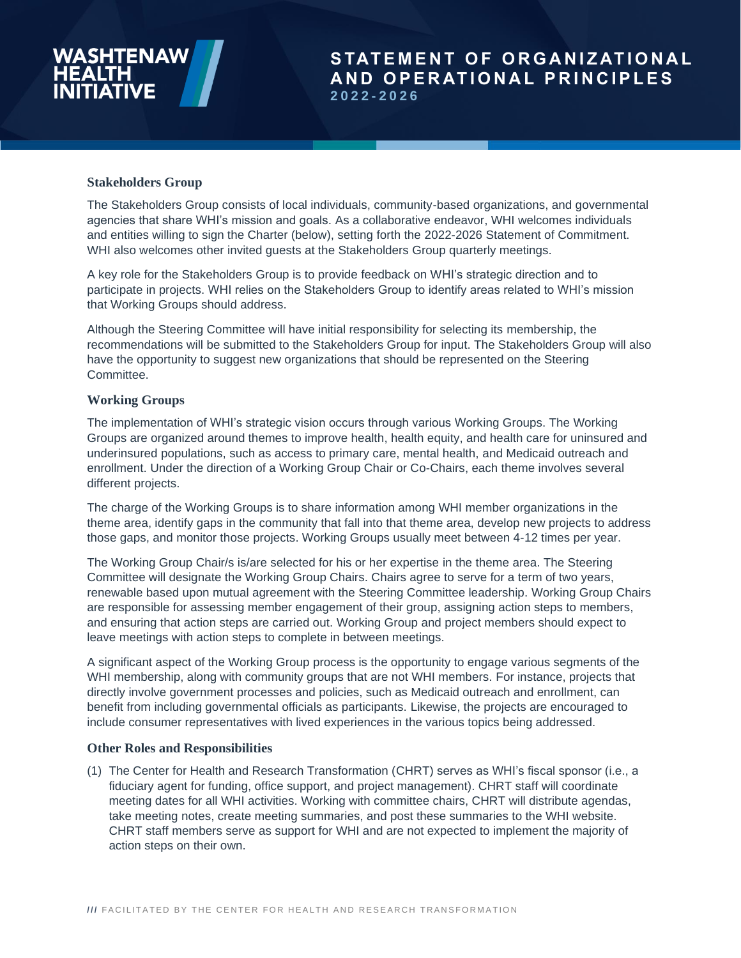#### **Stakeholders Group**

The Stakeholders Group consists of local individuals, community-based organizations, and governmental agencies that share WHI's mission and goals. As a collaborative endeavor, WHI welcomes individuals and entities willing to sign the Charter (below), setting forth the 2022-2026 Statement of Commitment. WHI also welcomes other invited quests at the Stakeholders Group quarterly meetings.

A key role for the Stakeholders Group is to provide feedback on WHI's strategic direction and to participate in projects. WHI relies on the Stakeholders Group to identify areas related to WHI's mission that Working Groups should address.

Although the Steering Committee will have initial responsibility for selecting its membership, the recommendations will be submitted to the Stakeholders Group for input. The Stakeholders Group will also have the opportunity to suggest new organizations that should be represented on the Steering Committee.

#### **Working Groups**

The implementation of WHI's strategic vision occurs through various Working Groups. The Working Groups are organized around themes to improve health, health equity, and health care for uninsured and underinsured populations, such as access to primary care, mental health, and Medicaid outreach and enrollment. Under the direction of a Working Group Chair or Co-Chairs, each theme involves several different projects.

The charge of the Working Groups is to share information among WHI member organizations in the theme area, identify gaps in the community that fall into that theme area, develop new projects to address those gaps, and monitor those projects. Working Groups usually meet between 4-12 times per year.

The Working Group Chair/s is/are selected for his or her expertise in the theme area. The Steering Committee will designate the Working Group Chairs. Chairs agree to serve for a term of two years, renewable based upon mutual agreement with the Steering Committee leadership. Working Group Chairs are responsible for assessing member engagement of their group, assigning action steps to members, and ensuring that action steps are carried out. Working Group and project members should expect to leave meetings with action steps to complete in between meetings.

A significant aspect of the Working Group process is the opportunity to engage various segments of the WHI membership, along with community groups that are not WHI members. For instance, projects that directly involve government processes and policies, such as Medicaid outreach and enrollment, can benefit from including governmental officials as participants. Likewise, the projects are encouraged to include consumer representatives with lived experiences in the various topics being addressed.

#### **Other Roles and Responsibilities**

(1) The Center for Health and Research Transformation (CHRT) serves as WHI's fiscal sponsor (i.e., a fiduciary agent for funding, office support, and project management). CHRT staff will coordinate meeting dates for all WHI activities. Working with committee chairs, CHRT will distribute agendas, take meeting notes, create meeting summaries, and post these summaries to the WHI website. CHRT staff members serve as support for WHI and are not expected to implement the majority of action steps on their own.